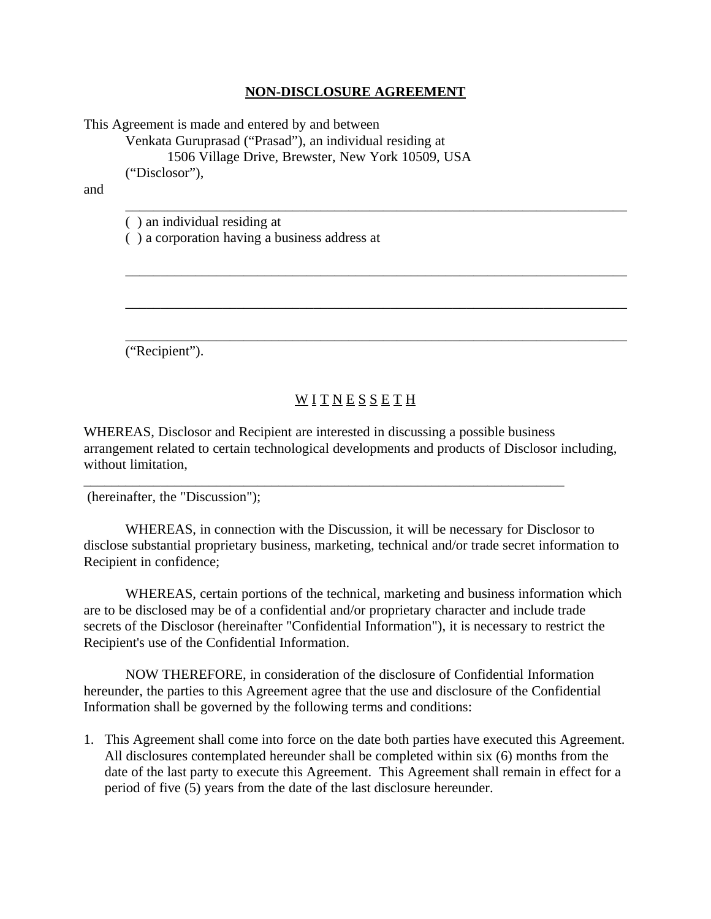## **NON-DISCLOSURE AGREEMENT**

\_\_\_\_\_\_\_\_\_\_\_\_\_\_\_\_\_\_\_\_\_\_\_\_\_\_\_\_\_\_\_\_\_\_\_\_\_\_\_\_\_\_\_\_\_\_\_\_\_\_\_\_\_\_\_\_\_\_\_\_\_\_\_\_\_\_\_\_\_\_\_\_

\_\_\_\_\_\_\_\_\_\_\_\_\_\_\_\_\_\_\_\_\_\_\_\_\_\_\_\_\_\_\_\_\_\_\_\_\_\_\_\_\_\_\_\_\_\_\_\_\_\_\_\_\_\_\_\_\_\_\_\_\_\_\_\_\_\_\_\_\_\_\_\_

\_\_\_\_\_\_\_\_\_\_\_\_\_\_\_\_\_\_\_\_\_\_\_\_\_\_\_\_\_\_\_\_\_\_\_\_\_\_\_\_\_\_\_\_\_\_\_\_\_\_\_\_\_\_\_\_\_\_\_\_\_\_\_\_\_\_\_\_\_\_\_\_

\_\_\_\_\_\_\_\_\_\_\_\_\_\_\_\_\_\_\_\_\_\_\_\_\_\_\_\_\_\_\_\_\_\_\_\_\_\_\_\_\_\_\_\_\_\_\_\_\_\_\_\_\_\_\_\_\_\_\_\_\_\_\_\_\_\_\_\_\_\_\_\_

This Agreement is made and entered by and between

Venkata Guruprasad ("Prasad"), an individual residing at

1506 Village Drive, Brewster, New York 10509, USA

("Disclosor"),

and

( ) an individual residing at

( ) a corporation having a business address at

("Recipient").

## WITNESSETH

WHEREAS, Disclosor and Recipient are interested in discussing a possible business arrangement related to certain technological developments and products of Disclosor including, without limitation,

\_\_\_\_\_\_\_\_\_\_\_\_\_\_\_\_\_\_\_\_\_\_\_\_\_\_\_\_\_\_\_\_\_\_\_\_\_\_\_\_\_\_\_\_\_\_\_\_\_\_\_\_\_\_\_\_\_\_\_\_\_\_\_\_\_\_\_\_\_

(hereinafter, the "Discussion");

WHEREAS, in connection with the Discussion, it will be necessary for Disclosor to disclose substantial proprietary business, marketing, technical and/or trade secret information to Recipient in confidence;

WHEREAS, certain portions of the technical, marketing and business information which are to be disclosed may be of a confidential and/or proprietary character and include trade secrets of the Disclosor (hereinafter "Confidential Information"), it is necessary to restrict the Recipient's use of the Confidential Information.

NOW THEREFORE, in consideration of the disclosure of Confidential Information hereunder, the parties to this Agreement agree that the use and disclosure of the Confidential Information shall be governed by the following terms and conditions:

1. This Agreement shall come into force on the date both parties have executed this Agreement. All disclosures contemplated hereunder shall be completed within six (6) months from the date of the last party to execute this Agreement. This Agreement shall remain in effect for a period of five (5) years from the date of the last disclosure hereunder.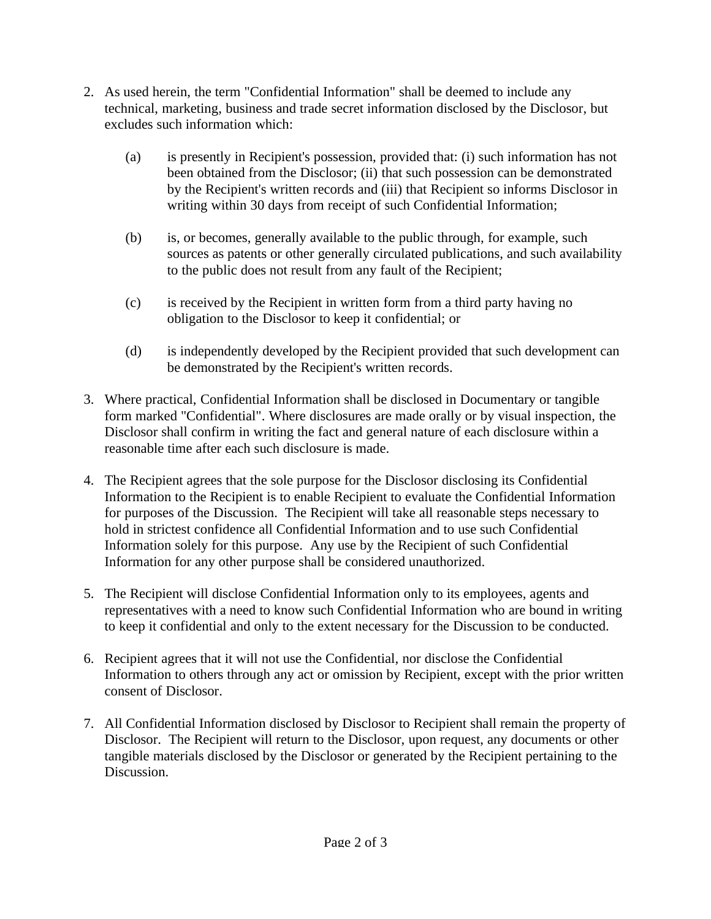- 2. As used herein, the term "Confidential Information" shall be deemed to include any technical, marketing, business and trade secret information disclosed by the Disclosor, but excludes such information which:
	- (a) is presently in Recipient's possession, provided that: (i) such information has not been obtained from the Disclosor; (ii) that such possession can be demonstrated by the Recipient's written records and (iii) that Recipient so informs Disclosor in writing within 30 days from receipt of such Confidential Information;
	- (b) is, or becomes, generally available to the public through, for example, such sources as patents or other generally circulated publications, and such availability to the public does not result from any fault of the Recipient;
	- (c) is received by the Recipient in written form from a third party having no obligation to the Disclosor to keep it confidential; or
	- (d) is independently developed by the Recipient provided that such development can be demonstrated by the Recipient's written records.
- 3. Where practical, Confidential Information shall be disclosed in Documentary or tangible form marked "Confidential". Where disclosures are made orally or by visual inspection, the Disclosor shall confirm in writing the fact and general nature of each disclosure within a reasonable time after each such disclosure is made.
- 4. The Recipient agrees that the sole purpose for the Disclosor disclosing its Confidential Information to the Recipient is to enable Recipient to evaluate the Confidential Information for purposes of the Discussion. The Recipient will take all reasonable steps necessary to hold in strictest confidence all Confidential Information and to use such Confidential Information solely for this purpose. Any use by the Recipient of such Confidential Information for any other purpose shall be considered unauthorized.
- 5. The Recipient will disclose Confidential Information only to its employees, agents and representatives with a need to know such Confidential Information who are bound in writing to keep it confidential and only to the extent necessary for the Discussion to be conducted.
- 6. Recipient agrees that it will not use the Confidential, nor disclose the Confidential Information to others through any act or omission by Recipient, except with the prior written consent of Disclosor.
- 7. All Confidential Information disclosed by Disclosor to Recipient shall remain the property of Disclosor. The Recipient will return to the Disclosor, upon request, any documents or other tangible materials disclosed by the Disclosor or generated by the Recipient pertaining to the Discussion.